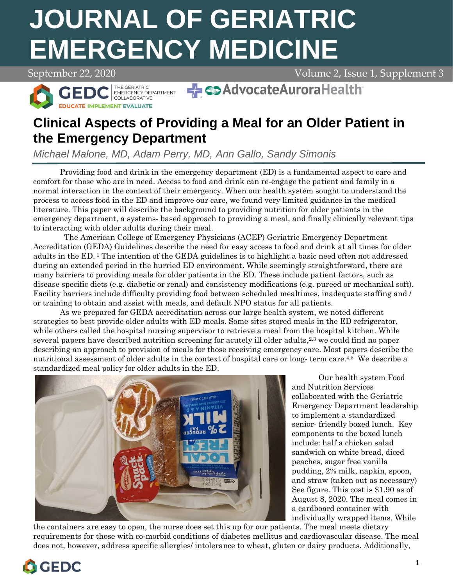# **EMERGENCY MEDICINE JOURNAL OF GERIATRIC**

September 22, 2020 Volume 2, Issue 1, Supplement 3



THE GERIATRIC<br>EMERGENCY DEPARTMENT<br>COLLABORATIVE GEDI **DUCATE IMPLEMENT EVALUATE** 

→ co AdvocateAuroraHealth

# **Clinical Aspects of Providing a Meal for an Older Patient in the Emergency Department**

*Michael Malone, MD, Adam Perry, MD, Ann Gallo, Sandy Simonis*

Providing food and drink in the emergency department (ED) is a fundamental aspect to care and comfort for those who are in need. Access to food and drink can re-engage the patient and family in a normal interaction in the context of their emergency. When our health system sought to understand the process to access food in the ED and improve our care, we found very limited guidance in the medical literature. This paper will describe the background to providing nutrition for older patients in the emergency department, a systems- based approach to providing a meal, and finally clinically relevant tips to interacting with older adults during their meal.

The American College of Emergency Physicians (ACEP) Geriatric Emergency Department Accreditation (GEDA) Guidelines describe the need for easy access to food and drink at all times for older adults in the ED. <sup>1</sup> The intention of the GEDA guidelines is to highlight a basic need often not addressed during an extended period in the hurried ED environment. While seemingly straightforward, there are many barriers to providing meals for older patients in the ED. These include patient factors, such as disease specific diets (e.g. diabetic or renal) and consistency modifications (e.g. pureed or mechanical soft). Facility barriers include difficulty providing food between scheduled mealtimes, inadequate staffing and / or training to obtain and assist with meals, and default NPO status for all patients.

As we prepared for GEDA accreditation across our large health system, we noted different strategies to best provide older adults with ED meals. Some sites stored meals in the ED refrigerator, while others called the hospital nursing supervisor to retrieve a meal from the hospital kitchen. While several papers have described nutrition screening for acutely ill older adults,<sup>2,3</sup> we could find no paper describing an approach to provision of meals for those receiving emergency care. Most papers describe the nutritional assessment of older adults in the context of hospital care or long-term care.<sup>4,5</sup> We describe a standardized meal policy for older adults in the ED.



Our health system Food and Nutrition Services collaborated with the Geriatric Emergency Department leadership to implement a standardized senior- friendly boxed lunch. Key components to the boxed lunch include: half a chicken salad sandwich on white bread, diced peaches, sugar free vanilla pudding, 2% milk, napkin, spoon, and straw (taken out as necessary) See figure. This cost is \$1.90 as of August 8, 2020. The meal comes in a cardboard container with individually wrapped items. While

the containers are easy to open, the nurse does set this up for our patients. The meal meets dietary requirements for those with co-morbid conditions of diabetes mellitus and cardiovascular disease. The meal does not, however, address specific allergies/ intolerance to wheat, gluten or dairy products. Additionally,

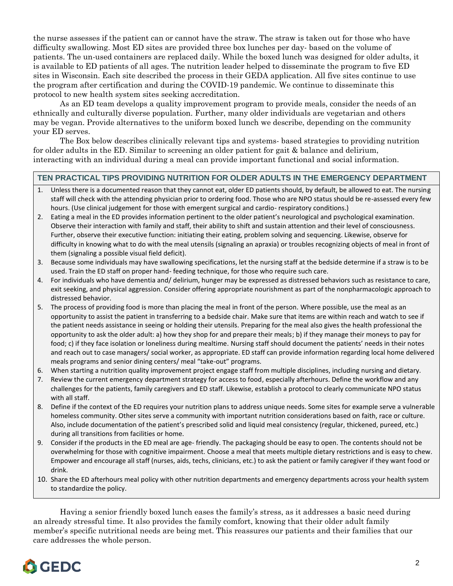the nurse assesses if the patient can or cannot have the straw. The straw is taken out for those who have difficulty swallowing. Most ED sites are provided three box lunches per day- based on the volume of patients. The un-used containers are replaced daily. While the boxed lunch was designed for older adults, it is available to ED patients of all ages. The nutrition leader helped to disseminate the program to five ED sites in Wisconsin. Each site described the process in their GEDA application. All five sites continue to use the program after certification and during the COVID-19 pandemic. We continue to disseminate this protocol to new health system sites seeking accreditation.

As an ED team develops a quality improvement program to provide meals, consider the needs of an ethnically and culturally diverse population. Further, many older individuals are vegetarian and others may be vegan. Provide alternatives to the uniform boxed lunch we describe, depending on the community your ED serves.

The Box below describes clinically relevant tips and systems- based strategies to providing nutrition for older adults in the ED. Similar to screening an older patient for gait & balance and delirium, interacting with an individual during a meal can provide important functional and social information.

## **TEN PRACTICAL TIPS PROVIDING NUTRITION FOR OLDER ADULTS IN THE EMERGENCY DEPARTMENT**

- 1. Unless there is a documented reason that they cannot eat, older ED patients should, by default, be allowed to eat. The nursing staff will check with the attending physician prior to ordering food. Those who are NPO status should be re-assessed every few hours. (Use clinical judgement for those with emergent surgical and cardio- respiratory conditions.)
- 2. Eating a meal in the ED provides information pertinent to the older patient's neurological and psychological examination. Observe their interaction with family and staff, their ability to shift and sustain attention and their level of consciousness. Further, observe their executive function: initiating their eating, problem solving and sequencing. Likewise, observe for difficulty in knowing what to do with the meal utensils (signaling an apraxia) or troubles recognizing objects of meal in front of them (signaling a possible visual field deficit).
- 3. Because some individuals may have swallowing specifications, let the nursing staff at the bedside determine if a straw is to be used. Train the ED staff on proper hand- feeding technique, for those who require such care.
- 4. For individuals who have dementia and/ delirium, hunger may be expressed as distressed behaviors such as resistance to care, exit seeking, and physical aggression. Consider offering appropriate nourishment as part of the nonpharmacologic approach to distressed behavior.
- 5. The process of providing food is more than placing the meal in front of the person. Where possible, use the meal as an opportunity to assist the patient in transferring to a bedside chair. Make sure that items are within reach and watch to see if the patient needs assistance in seeing or holding their utensils. Preparing for the meal also gives the health professional the opportunity to ask the older adult: a) how they shop for and prepare their meals; b) if they manage their moneys to pay for food; c) if they face isolation or loneliness during mealtime. Nursing staff should document the patients' needs in their notes and reach out to case managers/ social worker, as appropriate. ED staff can provide information regarding local home delivered meals programs and senior dining centers/ meal "take-out" programs.
- 6. When starting a nutrition quality improvement project engage staff from multiple disciplines, including nursing and dietary.
- 7. Review the current emergency department strategy for access to food, especially afterhours. Define the workflow and any challenges for the patients, family caregivers and ED staff. Likewise, establish a protocol to clearly communicate NPO status with all staff.
- 8. Define if the context of the ED requires your nutrition plans to address unique needs. Some sites for example serve a vulnerable homeless community. Other sites serve a community with important nutrition considerations based on faith, race or culture. Also, include documentation of the patient's prescribed solid and liquid meal consistency (regular, thickened, pureed, etc.) during all transitions from facilities or home.
- 9. Consider if the products in the ED meal are age- friendly. The packaging should be easy to open. The contents should not be overwhelming for those with cognitive impairment. Choose a meal that meets multiple dietary restrictions and is easy to chew. Empower and encourage all staff (nurses, aids, techs, clinicians, etc.) to ask the patient or family caregiver if they want food or drink.
- 10. Share the ED afterhours meal policy with other nutrition departments and emergency departments across your health system to standardize the policy.

Having a senior friendly boxed lunch eases the family's stress, as it addresses a basic need during an already stressful time. It also provides the family comfort, knowing that their older adult family member's specific nutritional needs are being met. This reassures our patients and their families that our care addresses the whole person.